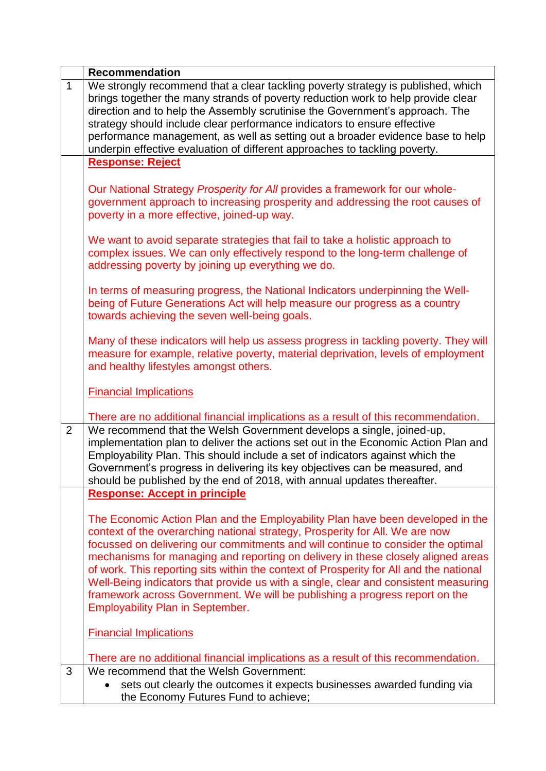|                | <b>Recommendation</b>                                                                                                                                                                                                                                                                                                                                                                                                                                                                                                                                                                                                                             |
|----------------|---------------------------------------------------------------------------------------------------------------------------------------------------------------------------------------------------------------------------------------------------------------------------------------------------------------------------------------------------------------------------------------------------------------------------------------------------------------------------------------------------------------------------------------------------------------------------------------------------------------------------------------------------|
| $\mathbf{1}$   | We strongly recommend that a clear tackling poverty strategy is published, which<br>brings together the many strands of poverty reduction work to help provide clear<br>direction and to help the Assembly scrutinise the Government's approach. The<br>strategy should include clear performance indicators to ensure effective<br>performance management, as well as setting out a broader evidence base to help<br>underpin effective evaluation of different approaches to tackling poverty.                                                                                                                                                  |
|                | <b>Response: Reject</b>                                                                                                                                                                                                                                                                                                                                                                                                                                                                                                                                                                                                                           |
|                | Our National Strategy Prosperity for All provides a framework for our whole-<br>government approach to increasing prosperity and addressing the root causes of<br>poverty in a more effective, joined-up way.                                                                                                                                                                                                                                                                                                                                                                                                                                     |
|                | We want to avoid separate strategies that fail to take a holistic approach to<br>complex issues. We can only effectively respond to the long-term challenge of<br>addressing poverty by joining up everything we do.                                                                                                                                                                                                                                                                                                                                                                                                                              |
|                | In terms of measuring progress, the National Indicators underpinning the Well-<br>being of Future Generations Act will help measure our progress as a country<br>towards achieving the seven well-being goals.                                                                                                                                                                                                                                                                                                                                                                                                                                    |
|                | Many of these indicators will help us assess progress in tackling poverty. They will<br>measure for example, relative poverty, material deprivation, levels of employment<br>and healthy lifestyles amongst others.                                                                                                                                                                                                                                                                                                                                                                                                                               |
|                | <b>Financial Implications</b>                                                                                                                                                                                                                                                                                                                                                                                                                                                                                                                                                                                                                     |
|                | There are no additional financial implications as a result of this recommendation.                                                                                                                                                                                                                                                                                                                                                                                                                                                                                                                                                                |
| $\overline{2}$ | We recommend that the Welsh Government develops a single, joined-up,<br>implementation plan to deliver the actions set out in the Economic Action Plan and<br>Employability Plan. This should include a set of indicators against which the<br>Government's progress in delivering its key objectives can be measured, and<br>should be published by the end of 2018, with annual updates thereafter.                                                                                                                                                                                                                                             |
|                | <b>Response: Accept in principle</b>                                                                                                                                                                                                                                                                                                                                                                                                                                                                                                                                                                                                              |
|                | The Economic Action Plan and the Employability Plan have been developed in the<br>context of the overarching national strategy, Prosperity for All. We are now<br>focussed on delivering our commitments and will continue to consider the optimal<br>mechanisms for managing and reporting on delivery in these closely aligned areas<br>of work. This reporting sits within the context of Prosperity for All and the national<br>Well-Being indicators that provide us with a single, clear and consistent measuring<br>framework across Government. We will be publishing a progress report on the<br><b>Employability Plan in September.</b> |
|                | <b>Financial Implications</b>                                                                                                                                                                                                                                                                                                                                                                                                                                                                                                                                                                                                                     |
|                | There are no additional financial implications as a result of this recommendation.                                                                                                                                                                                                                                                                                                                                                                                                                                                                                                                                                                |
| 3              | We recommend that the Welsh Government:                                                                                                                                                                                                                                                                                                                                                                                                                                                                                                                                                                                                           |
|                | sets out clearly the outcomes it expects businesses awarded funding via<br>the Economy Futures Fund to achieve;                                                                                                                                                                                                                                                                                                                                                                                                                                                                                                                                   |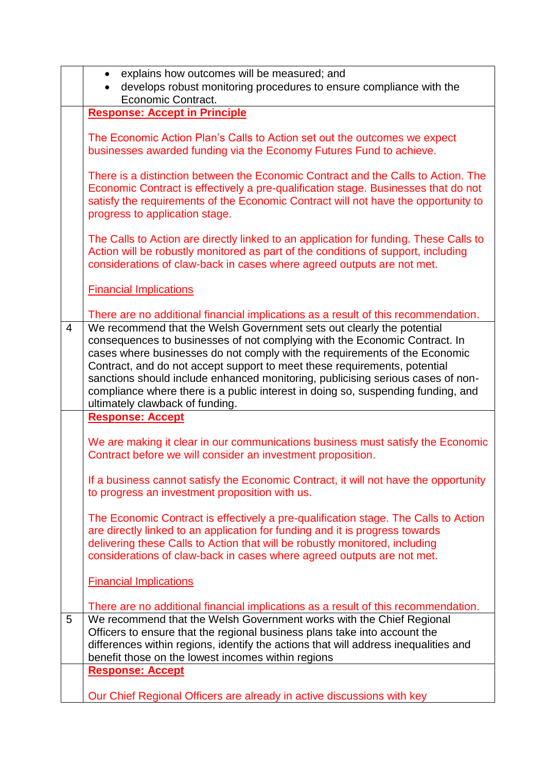|                | explains how outcomes will be measured; and<br>$\bullet$                                                                                                                                                                                                                                                                                                                                                                                                                                                                                                                                                       |
|----------------|----------------------------------------------------------------------------------------------------------------------------------------------------------------------------------------------------------------------------------------------------------------------------------------------------------------------------------------------------------------------------------------------------------------------------------------------------------------------------------------------------------------------------------------------------------------------------------------------------------------|
|                | develops robust monitoring procedures to ensure compliance with the                                                                                                                                                                                                                                                                                                                                                                                                                                                                                                                                            |
|                | Economic Contract.                                                                                                                                                                                                                                                                                                                                                                                                                                                                                                                                                                                             |
|                | <b>Response: Accept in Principle</b>                                                                                                                                                                                                                                                                                                                                                                                                                                                                                                                                                                           |
|                | The Economic Action Plan's Calls to Action set out the outcomes we expect<br>businesses awarded funding via the Economy Futures Fund to achieve.                                                                                                                                                                                                                                                                                                                                                                                                                                                               |
|                | There is a distinction between the Economic Contract and the Calls to Action. The<br>Economic Contract is effectively a pre-qualification stage. Businesses that do not<br>satisfy the requirements of the Economic Contract will not have the opportunity to<br>progress to application stage.                                                                                                                                                                                                                                                                                                                |
|                | The Calls to Action are directly linked to an application for funding. These Calls to<br>Action will be robustly monitored as part of the conditions of support, including<br>considerations of claw-back in cases where agreed outputs are not met.                                                                                                                                                                                                                                                                                                                                                           |
|                | <b>Financial Implications</b>                                                                                                                                                                                                                                                                                                                                                                                                                                                                                                                                                                                  |
| $\overline{4}$ | There are no additional financial implications as a result of this recommendation.<br>We recommend that the Welsh Government sets out clearly the potential<br>consequences to businesses of not complying with the Economic Contract. In<br>cases where businesses do not comply with the requirements of the Economic<br>Contract, and do not accept support to meet these requirements, potential<br>sanctions should include enhanced monitoring, publicising serious cases of non-<br>compliance where there is a public interest in doing so, suspending funding, and<br>ultimately clawback of funding. |
|                | <b>Response: Accept</b>                                                                                                                                                                                                                                                                                                                                                                                                                                                                                                                                                                                        |
|                | We are making it clear in our communications business must satisfy the Economic<br>Contract before we will consider an investment proposition.                                                                                                                                                                                                                                                                                                                                                                                                                                                                 |
|                | If a business cannot satisfy the Economic Contract, it will not have the opportunity<br>to progress an investment proposition with us.                                                                                                                                                                                                                                                                                                                                                                                                                                                                         |
|                | The Economic Contract is effectively a pre-qualification stage. The Calls to Action<br>are directly linked to an application for funding and it is progress towards<br>delivering these Calls to Action that will be robustly monitored, including<br>considerations of claw-back in cases where agreed outputs are not met.                                                                                                                                                                                                                                                                                   |
|                | <b>Financial Implications</b>                                                                                                                                                                                                                                                                                                                                                                                                                                                                                                                                                                                  |
|                | There are no additional financial implications as a result of this recommendation.                                                                                                                                                                                                                                                                                                                                                                                                                                                                                                                             |
| 5              | We recommend that the Welsh Government works with the Chief Regional<br>Officers to ensure that the regional business plans take into account the<br>differences within regions, identify the actions that will address inequalities and<br>benefit those on the lowest incomes within regions                                                                                                                                                                                                                                                                                                                 |
|                | <b>Response: Accept</b>                                                                                                                                                                                                                                                                                                                                                                                                                                                                                                                                                                                        |
|                | Our Chief Regional Officers are already in active discussions with key                                                                                                                                                                                                                                                                                                                                                                                                                                                                                                                                         |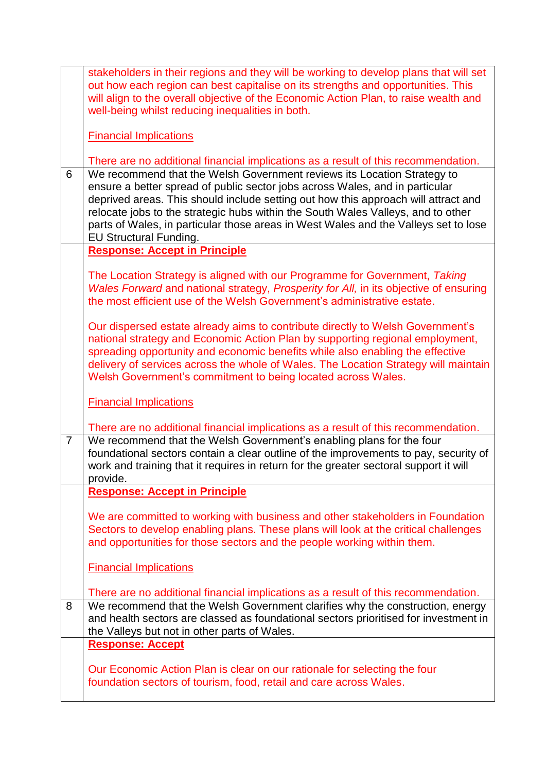|                | stakeholders in their regions and they will be working to develop plans that will set                                                                                    |
|----------------|--------------------------------------------------------------------------------------------------------------------------------------------------------------------------|
|                | out how each region can best capitalise on its strengths and opportunities. This<br>will align to the overall objective of the Economic Action Plan, to raise wealth and |
|                | well-being whilst reducing inequalities in both.                                                                                                                         |
|                |                                                                                                                                                                          |
|                | <b>Financial Implications</b>                                                                                                                                            |
|                |                                                                                                                                                                          |
| 6              | There are no additional financial implications as a result of this recommendation.                                                                                       |
|                | We recommend that the Welsh Government reviews its Location Strategy to<br>ensure a better spread of public sector jobs across Wales, and in particular                  |
|                | deprived areas. This should include setting out how this approach will attract and                                                                                       |
|                | relocate jobs to the strategic hubs within the South Wales Valleys, and to other                                                                                         |
|                | parts of Wales, in particular those areas in West Wales and the Valleys set to lose                                                                                      |
|                | <b>EU Structural Funding.</b>                                                                                                                                            |
|                | <b>Response: Accept in Principle</b>                                                                                                                                     |
|                | The Location Strategy is aligned with our Programme for Government, Taking                                                                                               |
|                | Wales Forward and national strategy, Prosperity for All, in its objective of ensuring                                                                                    |
|                | the most efficient use of the Welsh Government's administrative estate.                                                                                                  |
|                |                                                                                                                                                                          |
|                | Our dispersed estate already aims to contribute directly to Welsh Government's                                                                                           |
|                | national strategy and Economic Action Plan by supporting regional employment,<br>spreading opportunity and economic benefits while also enabling the effective           |
|                | delivery of services across the whole of Wales. The Location Strategy will maintain                                                                                      |
|                | Welsh Government's commitment to being located across Wales.                                                                                                             |
|                |                                                                                                                                                                          |
|                | <b>Financial Implications</b>                                                                                                                                            |
|                | There are no additional financial implications as a result of this recommendation.                                                                                       |
| $\overline{7}$ | We recommend that the Welsh Government's enabling plans for the four                                                                                                     |
|                | foundational sectors contain a clear outline of the improvements to pay, security of                                                                                     |
|                | work and training that it requires in return for the greater sectoral support it will                                                                                    |
|                | provide.                                                                                                                                                                 |
|                | <b>Response: Accept in Principle</b>                                                                                                                                     |
|                |                                                                                                                                                                          |
|                | We are committed to working with business and other stakeholders in Foundation                                                                                           |
|                | Sectors to develop enabling plans. These plans will look at the critical challenges                                                                                      |
|                | and opportunities for those sectors and the people working within them.                                                                                                  |
|                |                                                                                                                                                                          |
|                | <b>Financial Implications</b>                                                                                                                                            |
|                | There are no additional financial implications as a result of this recommendation.                                                                                       |
| 8              | We recommend that the Welsh Government clarifies why the construction, energy                                                                                            |
|                | and health sectors are classed as foundational sectors prioritised for investment in                                                                                     |
|                | the Valleys but not in other parts of Wales.                                                                                                                             |
|                | <b>Response: Accept</b>                                                                                                                                                  |
|                | Our Economic Action Plan is clear on our rationale for selecting the four                                                                                                |
|                | foundation sectors of tourism, food, retail and care across Wales.                                                                                                       |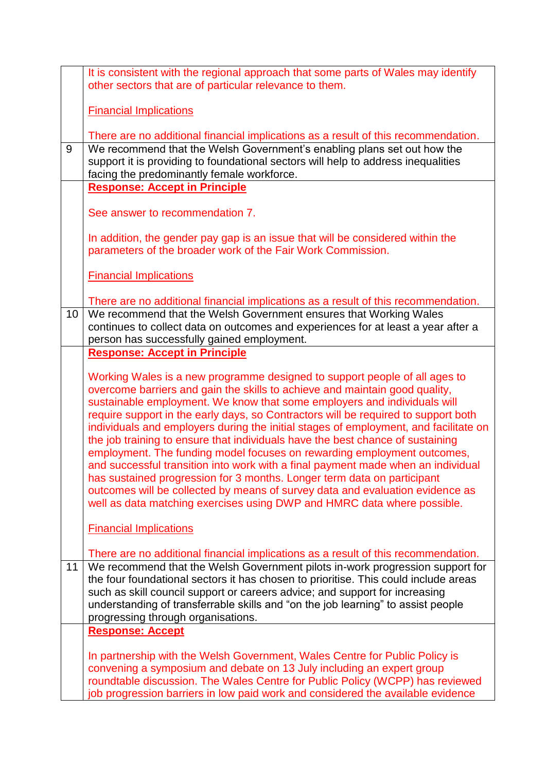|    | It is consistent with the regional approach that some parts of Wales may identify<br>other sectors that are of particular relevance to them.                                                                                                                                                                                                                                                                                                                                                                                                                                                                                                                                                                                                                                                                                                                                                                |
|----|-------------------------------------------------------------------------------------------------------------------------------------------------------------------------------------------------------------------------------------------------------------------------------------------------------------------------------------------------------------------------------------------------------------------------------------------------------------------------------------------------------------------------------------------------------------------------------------------------------------------------------------------------------------------------------------------------------------------------------------------------------------------------------------------------------------------------------------------------------------------------------------------------------------|
|    | <b>Financial Implications</b>                                                                                                                                                                                                                                                                                                                                                                                                                                                                                                                                                                                                                                                                                                                                                                                                                                                                               |
|    |                                                                                                                                                                                                                                                                                                                                                                                                                                                                                                                                                                                                                                                                                                                                                                                                                                                                                                             |
|    | There are no additional financial implications as a result of this recommendation.                                                                                                                                                                                                                                                                                                                                                                                                                                                                                                                                                                                                                                                                                                                                                                                                                          |
| 9  | We recommend that the Welsh Government's enabling plans set out how the<br>support it is providing to foundational sectors will help to address inequalities<br>facing the predominantly female workforce.                                                                                                                                                                                                                                                                                                                                                                                                                                                                                                                                                                                                                                                                                                  |
|    | <b>Response: Accept in Principle</b>                                                                                                                                                                                                                                                                                                                                                                                                                                                                                                                                                                                                                                                                                                                                                                                                                                                                        |
|    | See answer to recommendation 7.                                                                                                                                                                                                                                                                                                                                                                                                                                                                                                                                                                                                                                                                                                                                                                                                                                                                             |
|    | In addition, the gender pay gap is an issue that will be considered within the<br>parameters of the broader work of the Fair Work Commission.                                                                                                                                                                                                                                                                                                                                                                                                                                                                                                                                                                                                                                                                                                                                                               |
|    | <b>Financial Implications</b>                                                                                                                                                                                                                                                                                                                                                                                                                                                                                                                                                                                                                                                                                                                                                                                                                                                                               |
|    | There are no additional financial implications as a result of this recommendation.                                                                                                                                                                                                                                                                                                                                                                                                                                                                                                                                                                                                                                                                                                                                                                                                                          |
| 10 | We recommend that the Welsh Government ensures that Working Wales<br>continues to collect data on outcomes and experiences for at least a year after a<br>person has successfully gained employment.                                                                                                                                                                                                                                                                                                                                                                                                                                                                                                                                                                                                                                                                                                        |
|    | <b>Response: Accept in Principle</b>                                                                                                                                                                                                                                                                                                                                                                                                                                                                                                                                                                                                                                                                                                                                                                                                                                                                        |
|    | Working Wales is a new programme designed to support people of all ages to<br>overcome barriers and gain the skills to achieve and maintain good quality,<br>sustainable employment. We know that some employers and individuals will<br>require support in the early days, so Contractors will be required to support both<br>individuals and employers during the initial stages of employment, and facilitate on<br>the job training to ensure that individuals have the best chance of sustaining<br>employment. The funding model focuses on rewarding employment outcomes,<br>and successful transition into work with a final payment made when an individual<br>has sustained progression for 3 months. Longer term data on participant<br>outcomes will be collected by means of survey data and evaluation evidence as<br>well as data matching exercises using DWP and HMRC data where possible. |
|    | <b>Financial Implications</b>                                                                                                                                                                                                                                                                                                                                                                                                                                                                                                                                                                                                                                                                                                                                                                                                                                                                               |
| 11 | There are no additional financial implications as a result of this recommendation.<br>We recommend that the Welsh Government pilots in-work progression support for<br>the four foundational sectors it has chosen to prioritise. This could include areas<br>such as skill council support or careers advice; and support for increasing<br>understanding of transferrable skills and "on the job learning" to assist people<br>progressing through organisations.                                                                                                                                                                                                                                                                                                                                                                                                                                         |
|    | <b>Response: Accept</b>                                                                                                                                                                                                                                                                                                                                                                                                                                                                                                                                                                                                                                                                                                                                                                                                                                                                                     |
|    | In partnership with the Welsh Government, Wales Centre for Public Policy is<br>convening a symposium and debate on 13 July including an expert group<br>roundtable discussion. The Wales Centre for Public Policy (WCPP) has reviewed<br>job progression barriers in low paid work and considered the available evidence                                                                                                                                                                                                                                                                                                                                                                                                                                                                                                                                                                                    |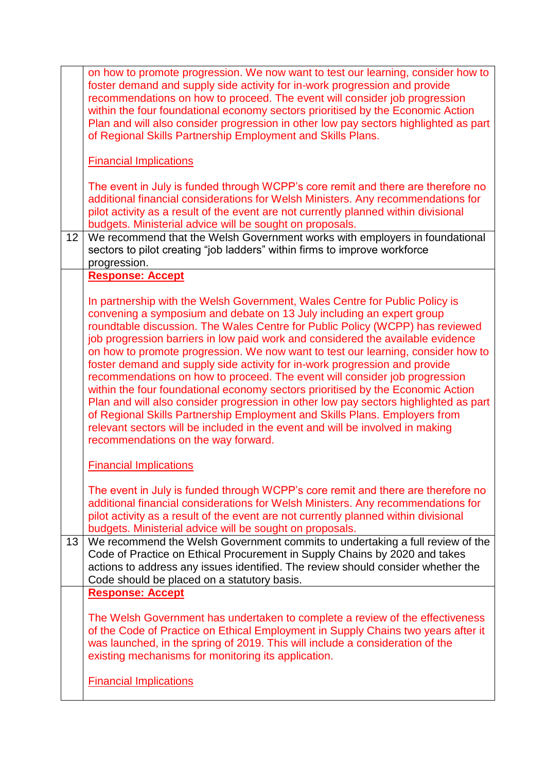|    | on how to promote progression. We now want to test our learning, consider how to<br>foster demand and supply side activity for in-work progression and provide<br>recommendations on how to proceed. The event will consider job progression<br>within the four foundational economy sectors prioritised by the Economic Action<br>Plan and will also consider progression in other low pay sectors highlighted as part<br>of Regional Skills Partnership Employment and Skills Plans.                                                                                                                                                                                                                                                                                                                                                                                                                                                                    |
|----|-----------------------------------------------------------------------------------------------------------------------------------------------------------------------------------------------------------------------------------------------------------------------------------------------------------------------------------------------------------------------------------------------------------------------------------------------------------------------------------------------------------------------------------------------------------------------------------------------------------------------------------------------------------------------------------------------------------------------------------------------------------------------------------------------------------------------------------------------------------------------------------------------------------------------------------------------------------|
|    | <b>Financial Implications</b>                                                                                                                                                                                                                                                                                                                                                                                                                                                                                                                                                                                                                                                                                                                                                                                                                                                                                                                             |
|    | The event in July is funded through WCPP's core remit and there are therefore no<br>additional financial considerations for Welsh Ministers. Any recommendations for<br>pilot activity as a result of the event are not currently planned within divisional<br>budgets. Ministerial advice will be sought on proposals.                                                                                                                                                                                                                                                                                                                                                                                                                                                                                                                                                                                                                                   |
| 12 | We recommend that the Welsh Government works with employers in foundational<br>sectors to pilot creating "job ladders" within firms to improve workforce<br>progression.                                                                                                                                                                                                                                                                                                                                                                                                                                                                                                                                                                                                                                                                                                                                                                                  |
|    | <b>Response: Accept</b>                                                                                                                                                                                                                                                                                                                                                                                                                                                                                                                                                                                                                                                                                                                                                                                                                                                                                                                                   |
|    | In partnership with the Welsh Government, Wales Centre for Public Policy is<br>convening a symposium and debate on 13 July including an expert group<br>roundtable discussion. The Wales Centre for Public Policy (WCPP) has reviewed<br>job progression barriers in low paid work and considered the available evidence<br>on how to promote progression. We now want to test our learning, consider how to<br>foster demand and supply side activity for in-work progression and provide<br>recommendations on how to proceed. The event will consider job progression<br>within the four foundational economy sectors prioritised by the Economic Action<br>Plan and will also consider progression in other low pay sectors highlighted as part<br>of Regional Skills Partnership Employment and Skills Plans. Employers from<br>relevant sectors will be included in the event and will be involved in making<br>recommendations on the way forward. |
|    | <b>Financial Implications</b>                                                                                                                                                                                                                                                                                                                                                                                                                                                                                                                                                                                                                                                                                                                                                                                                                                                                                                                             |
|    | The event in July is funded through WCPP's core remit and there are therefore no<br>additional financial considerations for Welsh Ministers. Any recommendations for<br>pilot activity as a result of the event are not currently planned within divisional<br>budgets. Ministerial advice will be sought on proposals.                                                                                                                                                                                                                                                                                                                                                                                                                                                                                                                                                                                                                                   |
| 13 | We recommend the Welsh Government commits to undertaking a full review of the<br>Code of Practice on Ethical Procurement in Supply Chains by 2020 and takes<br>actions to address any issues identified. The review should consider whether the<br>Code should be placed on a statutory basis.                                                                                                                                                                                                                                                                                                                                                                                                                                                                                                                                                                                                                                                            |
|    | <b>Response: Accept</b>                                                                                                                                                                                                                                                                                                                                                                                                                                                                                                                                                                                                                                                                                                                                                                                                                                                                                                                                   |
|    | The Welsh Government has undertaken to complete a review of the effectiveness<br>of the Code of Practice on Ethical Employment in Supply Chains two years after it<br>was launched, in the spring of 2019. This will include a consideration of the<br>existing mechanisms for monitoring its application.                                                                                                                                                                                                                                                                                                                                                                                                                                                                                                                                                                                                                                                |
|    | <b>Financial Implications</b>                                                                                                                                                                                                                                                                                                                                                                                                                                                                                                                                                                                                                                                                                                                                                                                                                                                                                                                             |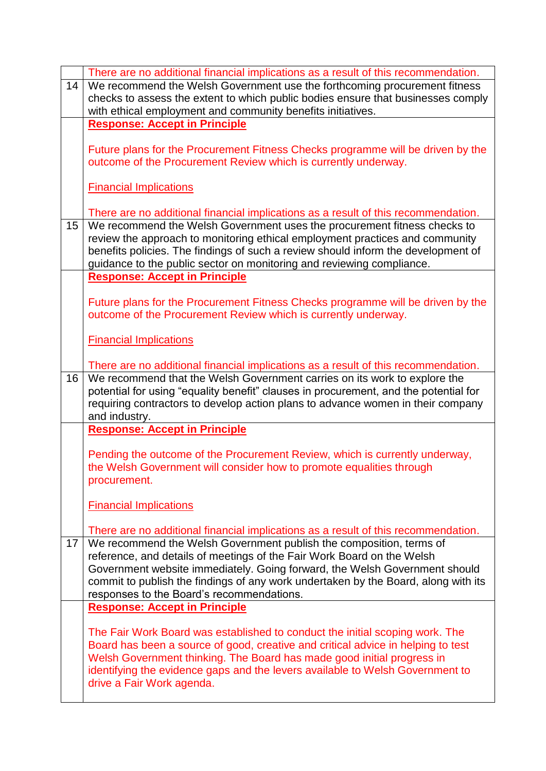|    | There are no additional financial implications as a result of this recommendation.                                                                        |
|----|-----------------------------------------------------------------------------------------------------------------------------------------------------------|
| 14 | We recommend the Welsh Government use the forthcoming procurement fitness                                                                                 |
|    | checks to assess the extent to which public bodies ensure that businesses comply                                                                          |
|    | with ethical employment and community benefits initiatives.                                                                                               |
|    | <b>Response: Accept in Principle</b>                                                                                                                      |
|    | Future plans for the Procurement Fitness Checks programme will be driven by the                                                                           |
|    | outcome of the Procurement Review which is currently underway.                                                                                            |
|    |                                                                                                                                                           |
|    | <b>Financial Implications</b>                                                                                                                             |
|    |                                                                                                                                                           |
|    | There are no additional financial implications as a result of this recommendation.                                                                        |
| 15 | We recommend the Welsh Government uses the procurement fitness checks to                                                                                  |
|    | review the approach to monitoring ethical employment practices and community                                                                              |
|    | benefits policies. The findings of such a review should inform the development of                                                                         |
|    | guidance to the public sector on monitoring and reviewing compliance.                                                                                     |
|    | <b>Response: Accept in Principle</b>                                                                                                                      |
|    | Future plans for the Procurement Fitness Checks programme will be driven by the                                                                           |
|    | outcome of the Procurement Review which is currently underway.                                                                                            |
|    |                                                                                                                                                           |
|    | <b>Financial Implications</b>                                                                                                                             |
|    |                                                                                                                                                           |
|    | There are no additional financial implications as a result of this recommendation.                                                                        |
| 16 | We recommend that the Welsh Government carries on its work to explore the                                                                                 |
|    | potential for using "equality benefit" clauses in procurement, and the potential for                                                                      |
|    | requiring contractors to develop action plans to advance women in their company                                                                           |
|    | and industry.<br><b>Response: Accept in Principle</b>                                                                                                     |
|    |                                                                                                                                                           |
|    | Pending the outcome of the Procurement Review, which is currently underway,                                                                               |
|    | the Welsh Government will consider how to promote equalities through                                                                                      |
|    | procurement.                                                                                                                                              |
|    |                                                                                                                                                           |
|    | <b>Financial Implications</b>                                                                                                                             |
|    |                                                                                                                                                           |
| 17 | There are no additional financial implications as a result of this recommendation.<br>We recommend the Welsh Government publish the composition, terms of |
|    | reference, and details of meetings of the Fair Work Board on the Welsh                                                                                    |
|    | Government website immediately. Going forward, the Welsh Government should                                                                                |
|    | commit to publish the findings of any work undertaken by the Board, along with its                                                                        |
|    | responses to the Board's recommendations.                                                                                                                 |
|    | <b>Response: Accept in Principle</b>                                                                                                                      |
|    |                                                                                                                                                           |
|    | The Fair Work Board was established to conduct the initial scoping work. The                                                                              |
|    | Board has been a source of good, creative and critical advice in helping to test                                                                          |
|    | Welsh Government thinking. The Board has made good initial progress in                                                                                    |
|    |                                                                                                                                                           |
|    | identifying the evidence gaps and the levers available to Welsh Government to                                                                             |
|    | drive a Fair Work agenda.                                                                                                                                 |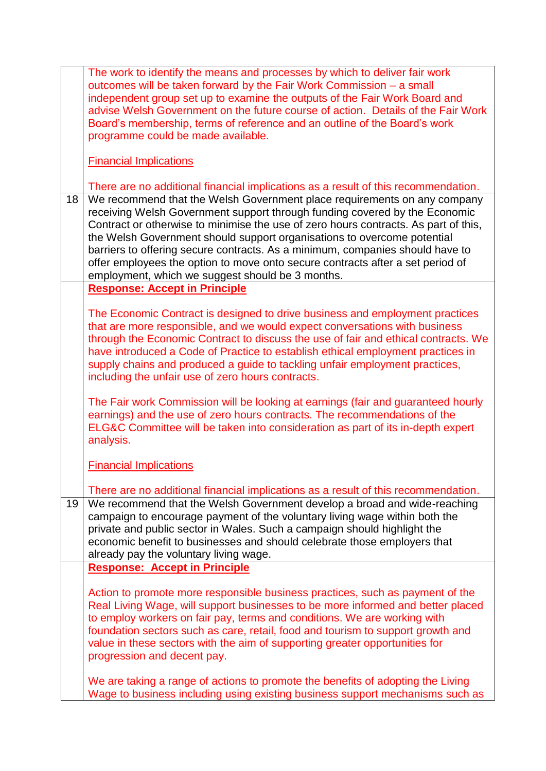|    | The work to identify the means and processes by which to deliver fair work<br>outcomes will be taken forward by the Fair Work Commission - a small<br>independent group set up to examine the outputs of the Fair Work Board and<br>advise Welsh Government on the future course of action. Details of the Fair Work<br>Board's membership, terms of reference and an outline of the Board's work<br>programme could be made available.                                                                                                         |
|----|-------------------------------------------------------------------------------------------------------------------------------------------------------------------------------------------------------------------------------------------------------------------------------------------------------------------------------------------------------------------------------------------------------------------------------------------------------------------------------------------------------------------------------------------------|
|    | <b>Financial Implications</b>                                                                                                                                                                                                                                                                                                                                                                                                                                                                                                                   |
|    | There are no additional financial implications as a result of this recommendation.                                                                                                                                                                                                                                                                                                                                                                                                                                                              |
| 18 | We recommend that the Welsh Government place requirements on any company<br>receiving Welsh Government support through funding covered by the Economic<br>Contract or otherwise to minimise the use of zero hours contracts. As part of this,<br>the Welsh Government should support organisations to overcome potential<br>barriers to offering secure contracts. As a minimum, companies should have to<br>offer employees the option to move onto secure contracts after a set period of<br>employment, which we suggest should be 3 months. |
|    | <b>Response: Accept in Principle</b>                                                                                                                                                                                                                                                                                                                                                                                                                                                                                                            |
|    | The Economic Contract is designed to drive business and employment practices<br>that are more responsible, and we would expect conversations with business<br>through the Economic Contract to discuss the use of fair and ethical contracts. We<br>have introduced a Code of Practice to establish ethical employment practices in<br>supply chains and produced a guide to tackling unfair employment practices,<br>including the unfair use of zero hours contracts.                                                                         |
|    | The Fair work Commission will be looking at earnings (fair and guaranteed hourly<br>earnings) and the use of zero hours contracts. The recommendations of the<br>ELG&C Committee will be taken into consideration as part of its in-depth expert<br>analysis.                                                                                                                                                                                                                                                                                   |
|    | <b>Financial Implications</b>                                                                                                                                                                                                                                                                                                                                                                                                                                                                                                                   |
|    | There are no additional financial implications as a result of this recommendation.                                                                                                                                                                                                                                                                                                                                                                                                                                                              |
| 19 | We recommend that the Welsh Government develop a broad and wide-reaching<br>campaign to encourage payment of the voluntary living wage within both the<br>private and public sector in Wales. Such a campaign should highlight the<br>economic benefit to businesses and should celebrate those employers that<br>already pay the voluntary living wage.                                                                                                                                                                                        |
|    | <b>Response: Accept in Principle</b>                                                                                                                                                                                                                                                                                                                                                                                                                                                                                                            |
|    | Action to promote more responsible business practices, such as payment of the<br>Real Living Wage, will support businesses to be more informed and better placed<br>to employ workers on fair pay, terms and conditions. We are working with<br>foundation sectors such as care, retail, food and tourism to support growth and<br>value in these sectors with the aim of supporting greater opportunities for<br>progression and decent pay.                                                                                                   |
|    | We are taking a range of actions to promote the benefits of adopting the Living<br>Wage to business including using existing business support mechanisms such as                                                                                                                                                                                                                                                                                                                                                                                |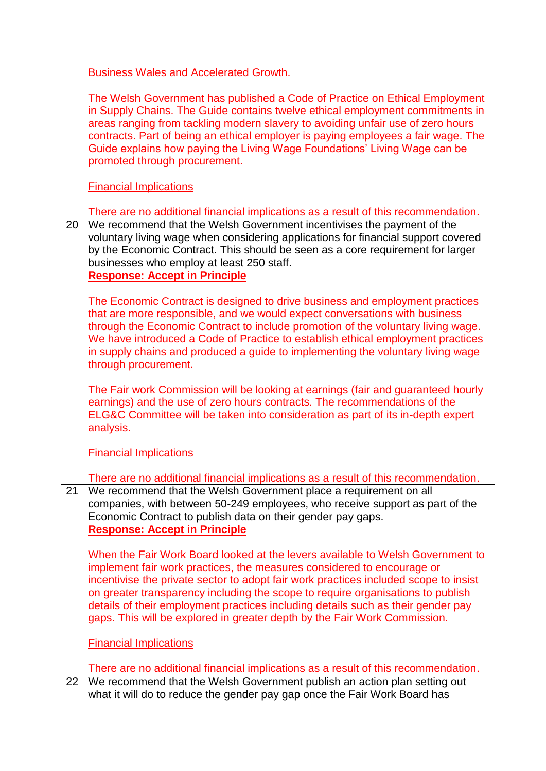|    | <b>Business Wales and Accelerated Growth.</b>                                                                                                                                                                                                                                                                                                                                                                                                                                                        |
|----|------------------------------------------------------------------------------------------------------------------------------------------------------------------------------------------------------------------------------------------------------------------------------------------------------------------------------------------------------------------------------------------------------------------------------------------------------------------------------------------------------|
|    | The Welsh Government has published a Code of Practice on Ethical Employment<br>in Supply Chains. The Guide contains twelve ethical employment commitments in<br>areas ranging from tackling modern slavery to avoiding unfair use of zero hours<br>contracts. Part of being an ethical employer is paying employees a fair wage. The<br>Guide explains how paying the Living Wage Foundations' Living Wage can be<br>promoted through procurement.                                                   |
|    | <b>Financial Implications</b>                                                                                                                                                                                                                                                                                                                                                                                                                                                                        |
|    | There are no additional financial implications as a result of this recommendation.                                                                                                                                                                                                                                                                                                                                                                                                                   |
| 20 | We recommend that the Welsh Government incentivises the payment of the<br>voluntary living wage when considering applications for financial support covered<br>by the Economic Contract. This should be seen as a core requirement for larger<br>businesses who employ at least 250 staff.                                                                                                                                                                                                           |
|    | <b>Response: Accept in Principle</b>                                                                                                                                                                                                                                                                                                                                                                                                                                                                 |
|    | The Economic Contract is designed to drive business and employment practices<br>that are more responsible, and we would expect conversations with business<br>through the Economic Contract to include promotion of the voluntary living wage.<br>We have introduced a Code of Practice to establish ethical employment practices<br>in supply chains and produced a guide to implementing the voluntary living wage<br>through procurement.                                                         |
|    | The Fair work Commission will be looking at earnings (fair and guaranteed hourly<br>earnings) and the use of zero hours contracts. The recommendations of the<br>ELG&C Committee will be taken into consideration as part of its in-depth expert<br>analysis.                                                                                                                                                                                                                                        |
|    | <b>Financial Implications</b>                                                                                                                                                                                                                                                                                                                                                                                                                                                                        |
|    | There are no additional financial implications as a result of this recommendation.                                                                                                                                                                                                                                                                                                                                                                                                                   |
| 21 | We recommend that the Welsh Government place a requirement on all<br>companies, with between 50-249 employees, who receive support as part of the<br>Economic Contract to publish data on their gender pay gaps.                                                                                                                                                                                                                                                                                     |
|    | <b>Response: Accept in Principle</b>                                                                                                                                                                                                                                                                                                                                                                                                                                                                 |
|    | When the Fair Work Board looked at the levers available to Welsh Government to<br>implement fair work practices, the measures considered to encourage or<br>incentivise the private sector to adopt fair work practices included scope to insist<br>on greater transparency including the scope to require organisations to publish<br>details of their employment practices including details such as their gender pay<br>gaps. This will be explored in greater depth by the Fair Work Commission. |
|    | <b>Financial Implications</b>                                                                                                                                                                                                                                                                                                                                                                                                                                                                        |
|    | There are no additional financial implications as a result of this recommendation.                                                                                                                                                                                                                                                                                                                                                                                                                   |
| 22 | We recommend that the Welsh Government publish an action plan setting out<br>what it will do to reduce the gender pay gap once the Fair Work Board has                                                                                                                                                                                                                                                                                                                                               |